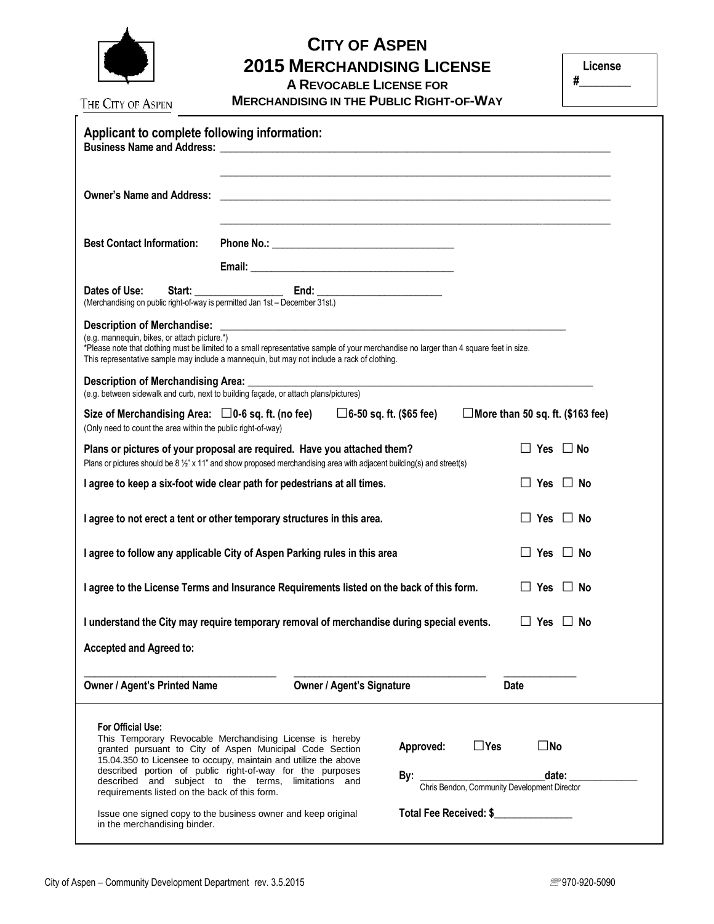

## **CITY OF ASPEN 2015 MERCHANDISING LICENSE**

**A REVOCABLE LICENSE FOR** 

**MERCHANDISING IN THE PUBLIC RIGHT-OF-WAY**

**#\_\_\_\_\_\_\_\_\_**

| The City of Aspen                                                         | <b>MERCHANDISING IN THE PUBLIC RIGHT-OF-WAY</b>                                                                                                                                                                                                                                                             |                                                                      |                               |  |
|---------------------------------------------------------------------------|-------------------------------------------------------------------------------------------------------------------------------------------------------------------------------------------------------------------------------------------------------------------------------------------------------------|----------------------------------------------------------------------|-------------------------------|--|
| Applicant to complete following information:                              |                                                                                                                                                                                                                                                                                                             |                                                                      |                               |  |
| <b>Owner's Name and Address:</b>                                          | <u> 2000 - Januar Alexander (h. 1888).</u><br>2001 - Johann Alexander (h. 1888).                                                                                                                                                                                                                            |                                                                      |                               |  |
| <b>Best Contact Information:</b>                                          |                                                                                                                                                                                                                                                                                                             |                                                                      |                               |  |
|                                                                           |                                                                                                                                                                                                                                                                                                             |                                                                      |                               |  |
|                                                                           | Dates of Use: Start: End: End: End: Use: Merchandising on public right-of-way is permitted Jan 1st - December 31st.)                                                                                                                                                                                        |                                                                      |                               |  |
| (e.g. mannequin, bikes, or attach picture.*)                              | *Please note that clothing must be limited to a small representative sample of your merchandise no larger than 4 square feet in size.<br>This representative sample may include a mannequin, but may not include a rack of clothing.                                                                        |                                                                      |                               |  |
| Description of Merchandising Area: ________                               | (e.g. between sidewalk and curb, next to building façade, or attach plans/pictures)                                                                                                                                                                                                                         |                                                                      |                               |  |
| (Only need to count the area within the public right-of-way)              | Size of Merchandising Area: $\Box 0$ -6 sq. ft. (no fee) $\Box 6$ -50 sq. ft. (\$65 fee) $\Box$ More than 50 sq. ft. (\$163 fee)                                                                                                                                                                            |                                                                      |                               |  |
|                                                                           | Plans or pictures of your proposal are required. Have you attached them?<br>Plans or pictures should be 8 1/2" x 11" and show proposed merchandising area with adjacent building(s) and street(s)                                                                                                           |                                                                      | $\Box$ Yes $\Box$ No          |  |
|                                                                           | I agree to keep a six-foot wide clear path for pedestrians at all times.                                                                                                                                                                                                                                    |                                                                      | $\Box$ Yes $\Box$ No          |  |
|                                                                           | I agree to not erect a tent or other temporary structures in this area.                                                                                                                                                                                                                                     |                                                                      | $\Box$ Yes $\Box$ No          |  |
| I agree to follow any applicable City of Aspen Parking rules in this area |                                                                                                                                                                                                                                                                                                             |                                                                      | $\Box$ Yes $\Box$ No          |  |
|                                                                           | I agree to the License Terms and Insurance Requirements listed on the back of this form.                                                                                                                                                                                                                    |                                                                      | $\Box$ Yes $\Box$ No          |  |
|                                                                           | I understand the City may require temporary removal of merchandise during special events.                                                                                                                                                                                                                   |                                                                      | $\Box$ Yes $\Box$ No          |  |
| <b>Accepted and Agreed to:</b>                                            |                                                                                                                                                                                                                                                                                                             |                                                                      |                               |  |
| <b>Owner / Agent's Printed Name</b>                                       | <b>Owner / Agent's Signature</b>                                                                                                                                                                                                                                                                            |                                                                      | Date                          |  |
| For Official Use:<br>requirements listed on the back of this form.        | This Temporary Revocable Merchandising License is hereby<br>granted pursuant to City of Aspen Municipal Code Section<br>15.04.350 to Licensee to occupy, maintain and utilize the above<br>described portion of public right-of-way for the purposes<br>described and subject to the terms, limitations and | Approved:<br><b>By:</b> Chris Bendon, Community Development Director | $\square$ Yes<br>$\square$ No |  |